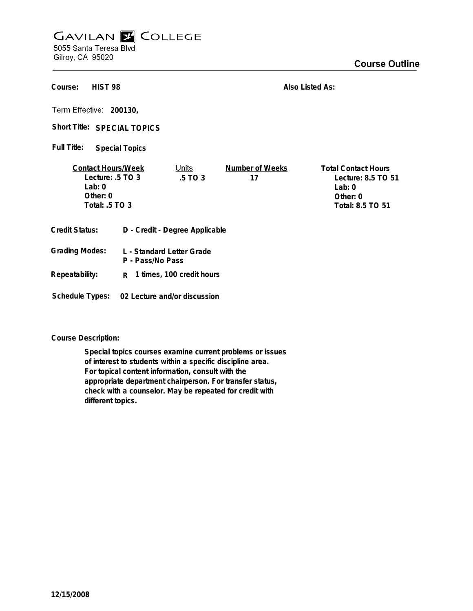## **GAVILAN Z COLLEGE**

5055 Santa Teresa Blvd Gilroy, CA 95020

## **Course Outline**

| Course:<br>HIST <sub>98</sub>                                                                                      |                                               |                              | Also Listed As:                                                                              |  |
|--------------------------------------------------------------------------------------------------------------------|-----------------------------------------------|------------------------------|----------------------------------------------------------------------------------------------|--|
| Term Effective: 200130,<br>Short Title: SPECIAL TOPICS                                                             |                                               |                              |                                                                                              |  |
| Full Title:                                                                                                        | <b>Special Topics</b>                         |                              |                                                                                              |  |
| <u>Units</u><br><b>Contact Hours/Week</b><br>Lecture: .5 TO 3<br>.5 TO 3<br>Lab: $0$<br>Other: 0<br>Total: .5 TO 3 |                                               | <b>Number of Weeks</b><br>17 | <b>Total Contact Hours</b><br>Lecture: 8.5 TO 51<br>Lab: $0$<br>Other: 0<br>Total: 8.5 TO 51 |  |
| Credit Status:                                                                                                     | D - Credit - Degree Applicable                |                              |                                                                                              |  |
| Grading Modes:                                                                                                     | L - Standard Letter Grade<br>P - Pass/No Pass |                              |                                                                                              |  |
| Repeatability:                                                                                                     | R 1 times, 100 credit hours                   |                              |                                                                                              |  |
| Schedule Types:                                                                                                    |                                               | 02 Lecture and/or discussion |                                                                                              |  |

**Course Description:**

**Special topics courses examine current problems or issues of interest to students within a specific discipline area. For topical content information, consult with the appropriate department chairperson. For transfer status, check with a counselor. May be repeated for credit with different topics.**